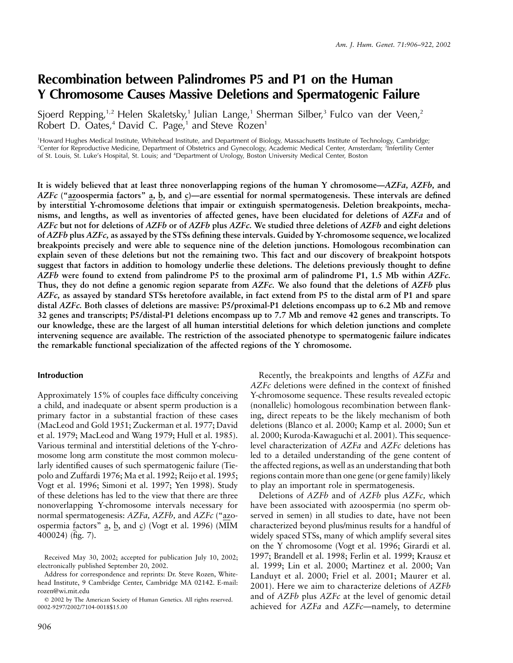# **Recombination between Palindromes P5 and P1 on the Human Y Chromosome Causes Massive Deletions and Spermatogenic Failure**

Sjoerd Repping,<sup>1,2</sup> Helen Skaletsky,<sup>1</sup> Julian Lange,<sup>1</sup> Sherman Silber,<sup>3</sup> Fulco van der Veen,<sup>2</sup> Robert D. Oates, $4$  David C. Page, $1$  and Steve Rozen<sup>1</sup>

1 Howard Hughes Medical Institute, Whitehead Institute, and Department of Biology, Massachusetts Institute of Technology, Cambridge; <sup>2</sup>Center for Reproductive Medicine, Department of Obstetrics and Gynecology, Academic Medical Center, Amsterdam; <sup>3</sup>Infertility Center of St. Louis, St. Luke's Hospital, St. Louis; and <sup>4</sup> Department of Urology, Boston University Medical Center, Boston

**It is widely believed that at least three nonoverlapping regions of the human Y chromosome—***AZFa, AZFb,* **and** *AZFc* **("azoospermia factors" a, b, and c)—are essential for normal spermatogenesis. These intervals are defined by interstitial Y-chromosome deletions that impair or extinguish spermatogenesis. Deletion breakpoints, mechanisms, and lengths, as well as inventories of affected genes, have been elucidated for deletions of** *AZFa* **and of** *AZFc* **but not for deletions of** *AZFb* **or of** *AZFb* **plus** *AZFc.* **We studied three deletions of** *AZFb* **and eight deletions of** *AZFb* **plus** *AZFc,* **as assayed by the STSs defining these intervals. Guided by Y-chromosome sequence, we localized breakpoints precisely and were able to sequence nine of the deletion junctions. Homologous recombination can explain seven of these deletions but not the remaining two. This fact and our discovery of breakpoint hotspots suggest that factors in addition to homology underlie these deletions. The deletions previously thought to define** *AZFb* **were found to extend from palindrome P5 to the proximal arm of palindrome P1, 1.5 Mb within** *AZFc.* **Thus, they do not define a genomic region separate from** *AZFc.* **We also found that the deletions of** *AZFb* **plus** *AZFc,* **as assayed by standard STSs heretofore available, in fact extend from P5 to the distal arm of P1 and spare distal** *AZFc.* **Both classes of deletions are massive: P5/proximal-P1 deletions encompass up to 6.2 Mb and remove 32 genes and transcripts; P5/distal-P1 deletions encompass up to 7.7 Mb and remove 42 genes and transcripts. To our knowledge, these are the largest of all human interstitial deletions for which deletion junctions and complete intervening sequence are available. The restriction of the associated phenotype to spermatogenic failure indicates the remarkable functional specialization of the affected regions of the Y chromosome.**

#### **Introduction**

Approximately 15% of couples face difficulty conceiving a child, and inadequate or absent sperm production is a primary factor in a substantial fraction of these cases (MacLeod and Gold 1951; Zuckerman et al. 1977; David et al. 1979; MacLeod and Wang 1979; Hull et al. 1985). Various terminal and interstitial deletions of the Y-chromosome long arm constitute the most common molecularly identified causes of such spermatogenic failure (Tiepolo and Zuffardi 1976; Ma et al. 1992; Reijo et al. 1995; Vogt et al. 1996; Simoni et al. 1997; Yen 1998). Study of these deletions has led to the view that there are three nonoverlapping Y-chromosome intervals necessary for normal spermatogenesis: *AZFa, AZFb,* and *AZFc* ("azoospermia factors" a, b, and c) (Vogt et al. 1996) (MIM 400024) (fig. 7).

Recently, the breakpoints and lengths of *AZFa* and *AZFc* deletions were defined in the context of finished Y-chromosome sequence. These results revealed ectopic (nonallelic) homologous recombination between flanking, direct repeats to be the likely mechanism of both deletions (Blanco et al. 2000; Kamp et al. 2000; Sun et al. 2000; Kuroda-Kawaguchi et al. 2001). This sequencelevel characterization of *AZFa* and *AZFc* deletions has led to a detailed understanding of the gene content of the affected regions, as well as an understanding that both regions contain more than one gene (or gene family) likely to play an important role in spermatogenesis.

Deletions of *AZFb* and of *AZFb* plus *AZFc,* which have been associated with azoospermia (no sperm observed in semen) in all studies to date, have not been characterized beyond plus/minus results for a handful of widely spaced STSs, many of which amplify several sites on the Y chromosome (Vogt et al. 1996; Girardi et al. 1997; Brandell et al. 1998; Ferlin et al. 1999; Krausz et al. 1999; Lin et al. 2000; Martinez et al. 2000; Van Landuyt et al. 2000; Friel et al. 2001; Maurer et al. 2001). Here we aim to characterize deletions of *AZFb* and of *AZFb* plus *AZFc* at the level of genomic detail achieved for *AZFa* and *AZFc*—namely, to determine

Received May 30, 2002; accepted for publication July 10, 2002; electronically published September 20, 2002.

Address for correspondence and reprints: Dr. Steve Rozen, Whitehead Institute, 9 Cambridge Center, Cambridge MA 02142. E-mail: rozen@wi.mit.edu

2002 by The American Society of Human Genetics. All rights reserved. 0002-9297/2002/7104-0018\$15.00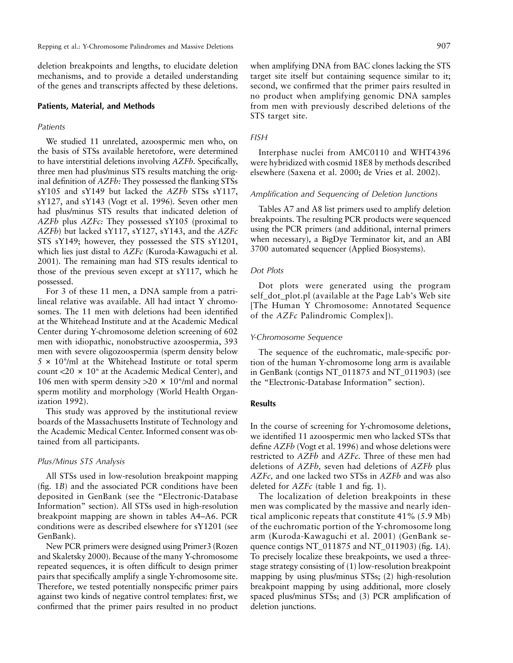deletion breakpoints and lengths, to elucidate deletion mechanisms, and to provide a detailed understanding of the genes and transcripts affected by these deletions.

#### **Patients, Material, and Methods**

#### *Patients*

We studied 11 unrelated, azoospermic men who, on the basis of STSs available heretofore, were determined to have interstitial deletions involving *AZFb.* Specifically, three men had plus/minus STS results matching the original definition of *AZFb:* They possessed the flanking STSs sY105 and sY149 but lacked the *AZFb* STSs sY117, sY127, and sY143 (Vogt et al. 1996). Seven other men had plus/minus STS results that indicated deletion of *AZFb* plus *AZFc:* They possessed sY105 (proximal to *AZFb*) but lacked sY117, sY127, sY143, and the *AZFc* STS sY149; however, they possessed the STS sY1201, which lies just distal to *AZFc* (Kuroda-Kawaguchi et al. 2001). The remaining man had STS results identical to those of the previous seven except at sY117, which he possessed.

For 3 of these 11 men, a DNA sample from a patrilineal relative was available. All had intact Y chromosomes. The 11 men with deletions had been identified at the Whitehead Institute and at the Academic Medical Center during Y-chromosome deletion screening of 602 men with idiopathic, nonobstructive azoospermia, 393 men with severe oligozoospermia (sperm density below  $5 \times 10^6$ /ml at the Whitehead Institute or total sperm count  $<$ 20  $\times$  10<sup>6</sup> at the Academic Medical Center), and 106 men with sperm density  $>20 \times 10^6$ /ml and normal sperm motility and morphology (World Health Organization 1992).

This study was approved by the institutional review boards of the Massachusetts Institute of Technology and the Academic Medical Center. Informed consent was obtained from all participants.

#### *Plus/Minus STS Analysis*

All STSs used in low-resolution breakpoint mapping (fig. 1*B*) and the associated PCR conditions have been deposited in GenBank (see the "Electronic-Database Information" section). All STSs used in high-resolution breakpoint mapping are shown in tables A4–A6. PCR conditions were as described elsewhere for sY1201 (see GenBank).

New PCR primers were designed using Primer3 (Rozen and Skaletsky 2000). Because of the many Y-chromosome repeated sequences, it is often difficult to design primer pairs that specifically amplify a single Y-chromosome site. Therefore, we tested potentially nonspecific primer pairs against two kinds of negative control templates: first, we confirmed that the primer pairs resulted in no product

when amplifying DNA from BAC clones lacking the STS target site itself but containing sequence similar to it; second, we confirmed that the primer pairs resulted in no product when amplifying genomic DNA samples from men with previously described deletions of the STS target site.

## *FISH*

Interphase nuclei from AMC0110 and WHT4396 were hybridized with cosmid 18E8 by methods described elsewhere (Saxena et al. 2000; de Vries et al. 2002).

## *Amplification and Sequencing of Deletion Junctions*

Tables A7 and A8 list primers used to amplify deletion breakpoints. The resulting PCR products were sequenced using the PCR primers (and additional, internal primers when necessary), a BigDye Terminator kit, and an ABI 3700 automated sequencer (Applied Biosystems).

#### *Dot Plots*

Dot plots were generated using the program self dot plot.pl (available at the Page Lab's Web site [The Human Y Chromosome: Annotated Sequence of the *AZFc* Palindromic Complex]).

#### *Y-Chromosome Sequence*

The sequence of the euchromatic, male-specific portion of the human Y-chromosome long arm is available in GenBank (contigs NT\_011875 and NT\_011903) (see the "Electronic-Database Information" section).

#### **Results**

In the course of screening for Y-chromosome deletions, we identified 11 azoospermic men who lacked STSs that define *AZFb* (Vogt et al. 1996) and whose deletions were restricted to *AZFb* and *AZFc.* Three of these men had deletions of *AZFb,* seven had deletions of *AZFb* plus *AZFc,* and one lacked two STSs in *AZFb* and was also deleted for *AZFc* (table 1 and fig. 1).

The localization of deletion breakpoints in these men was complicated by the massive and nearly identical ampliconic repeats that constitute 41% (5.9 Mb) of the euchromatic portion of the Y-chromosome long arm (Kuroda-Kawaguchi et al. 2001) (GenBank sequence contigs NT\_011875 and NT\_011903) (fig. 1*A*). To precisely localize these breakpoints, we used a threestage strategy consisting of (1) low-resolution breakpoint mapping by using plus/minus STSs; (2) high-resolution breakpoint mapping by using additional, more closely spaced plus/minus STSs; and (3) PCR amplification of deletion junctions.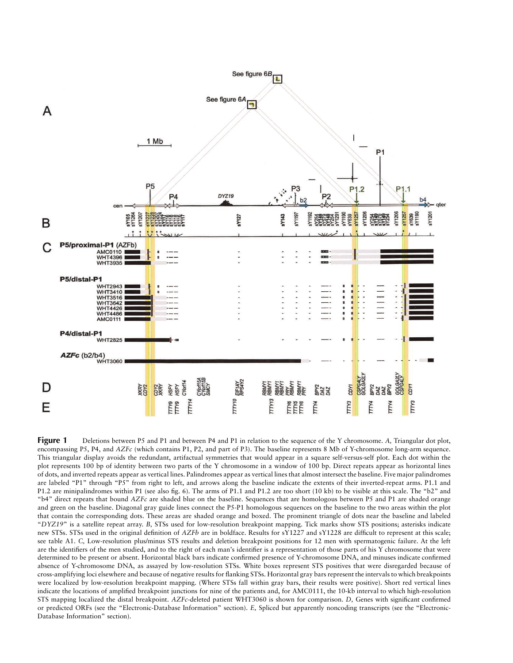

**Figure 1** Deletions between P5 and P1 and between P4 and P1 in relation to the sequence of the Y chromosome. A, Triangular dot plot, encompassing P5, P4, and *AZFc* (which contains P1, P2, and part of P3). The baseline represents 8 Mb of Y-chromosome long-arm sequence. This triangular display avoids the redundant, artifactual symmetries that would appear in a square self-versus-self plot. Each dot within the plot represents 100 bp of identity between two parts of the Y chromosome in a window of 100 bp. Direct repeats appear as horizontal lines of dots, and inverted repeats appear as vertical lines. Palindromes appear as vertical lines that almost intersect the baseline. Five major palindromes are labeled "P1" through "P5" from right to left, and arrows along the baseline indicate the extents of their inverted-repeat arms. P1.1 and P1.2 are minipalindromes within P1 (see also fig. 6). The arms of P1.1 and P1.2 are too short (10 kb) to be visible at this scale. The "b2" and "b4" direct repeats that bound *AZFc* are shaded blue on the baseline. Sequences that are homologous between P5 and P1 are shaded orange and green on the baseline. Diagonal gray guide lines connect the P5-P1 homologous sequences on the baseline to the two areas within the plot that contain the corresponding dots. These areas are shaded orange and boxed. The prominent triangle of dots near the baseline and labeled "*DYZ19*" is a satellite repeat array. *B,* STSs used for low-resolution breakpoint mapping. Tick marks show STS positions; asterisks indicate new STSs. STSs used in the original definition of *AZFb* are in boldface. Results for sY1227 and sY1228 are difficult to represent at this scale; see table A1. *C,* Low-resolution plus/minus STS results and deletion breakpoint positions for 12 men with spermatogenic failure. At the left are the identifiers of the men studied, and to the right of each man's identifier is a representation of those parts of his Y chromosome that were determined to be present or absent. Horizontal black bars indicate confirmed presence of Y-chromosome DNA, and minuses indicate confirmed absence of Y-chromosome DNA, as assayed by low-resolution STSs. White boxes represent STS positives that were disregarded because of cross-amplifying loci elsewhere and because of negative results for flanking STSs. Horizontal gray bars represent the intervals to which breakpoints were localized by low-resolution breakpoint mapping. (Where STSs fall within gray bars, their results were positive). Short red vertical lines indicate the locations of amplified breakpoint junctions for nine of the patients and, for AMC0111, the 10-kb interval to which high-resolution STS mapping localized the distal breakpoint. *AZFc-*deleted patient WHT3060 is shown for comparison. *D,* Genes with significant confirmed or predicted ORFs (see the "Electronic-Database Information" section). *E,* Spliced but apparently noncoding transcripts (see the "Electronic-Database Information" section).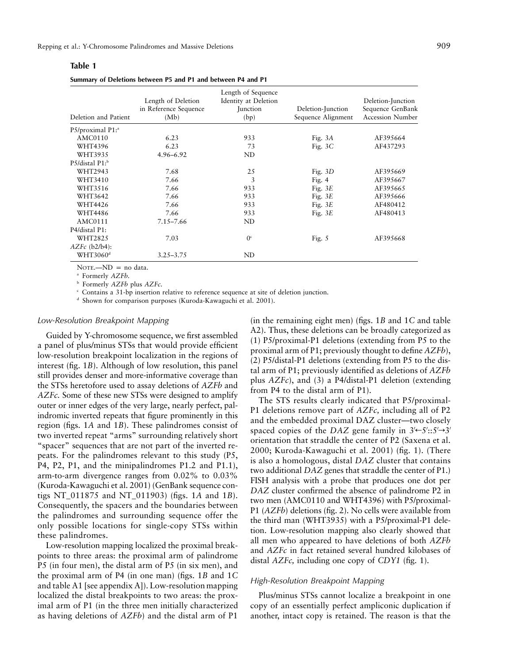| iani<br>ı |  |  |  |
|-----------|--|--|--|
|-----------|--|--|--|

**Summary of Deletions between P5 and P1 and between P4 and P1**

| Deletion and Patient         | Length of Deletion<br>in Reference Sequence<br>(Mb) | Length of Sequence<br>Identity at Deletion<br><b>Junction</b><br>(bp) | Deletion-Junction<br>Sequence Alignment | Deletion-Junction<br>Sequence GenBank<br><b>Accession Number</b> |
|------------------------------|-----------------------------------------------------|-----------------------------------------------------------------------|-----------------------------------------|------------------------------------------------------------------|
| P5/proximal P1: <sup>a</sup> |                                                     |                                                                       |                                         |                                                                  |
| <b>AMC0110</b>               | 6.23                                                | 933                                                                   | Fig. $3A$                               | AF395664                                                         |
| WHT4396                      | 6.23                                                | 73                                                                    | Fig. $3C$                               | AF437293                                                         |
| WHT3935                      | $4.96 - 6.92$                                       | ND                                                                    |                                         |                                                                  |
| $P5/distal P1$ <sup>b</sup>  |                                                     |                                                                       |                                         |                                                                  |
| WHT2943                      | 7.68                                                | 25                                                                    | Fig. $3D$                               | AF395669                                                         |
| WHT3410                      | 7.66                                                | 3                                                                     | Fig. $4$                                | AF395667                                                         |
| WHT3516                      | 7.66                                                | 933                                                                   | Fig. $3E$                               | AF395665                                                         |
| WHT3642                      | 7.66                                                | 933                                                                   | Fig. $3E$                               | AF395666                                                         |
| WHT4426                      | 7.66                                                | 933                                                                   | Fig. $3E$                               | AF480412                                                         |
| WHT4486                      | 7.66                                                | 933                                                                   | Fig. $3E$                               | AF480413                                                         |
| AMC0111                      | $7.15 - 7.66$                                       | ND                                                                    |                                         |                                                                  |
| P4/distal P1:                |                                                     |                                                                       |                                         |                                                                  |
| <b>WHT2825</b>               | 7.03                                                | 0 <sup>c</sup>                                                        | Fig. $5$                                | AF395668                                                         |
| $AZFc$ ( $b2/b4$ ):          |                                                     |                                                                       |                                         |                                                                  |
| WHT3060 <sup>d</sup>         | $3.25 - 3.75$                                       | ND                                                                    |                                         |                                                                  |

 $NOTE. -ND = no data.$ 

<sup>a</sup> Formerly *AZFb.*

<sup>b</sup> Formerly *AZFb* plus *AZFc.*

<sup>c</sup> Contains a 31-bp insertion relative to reference sequence at site of deletion junction.

<sup>d</sup> Shown for comparison purposes (Kuroda-Kawaguchi et al. 2001).

#### *Low-Resolution Breakpoint Mapping*

Guided by Y-chromosome sequence, we first assembled a panel of plus/minus STSs that would provide efficient low-resolution breakpoint localization in the regions of interest (fig. 1*B*). Although of low resolution, this panel still provides denser and more-informative coverage than the STSs heretofore used to assay deletions of *AZFb* and *AZFc.* Some of these new STSs were designed to amplify outer or inner edges of the very large, nearly perfect, palindromic inverted repeats that figure prominently in this region (figs. 1*A* and 1*B*). These palindromes consist of two inverted repeat "arms" surrounding relatively short "spacer" sequences that are not part of the inverted repeats. For the palindromes relevant to this study (P5, P4, P2, P1, and the minipalindromes P1.2 and P1.1), arm-to-arm divergence ranges from 0.02% to 0.03% (Kuroda-Kawaguchi et al. 2001) (GenBank sequence contigs NT\_011875 and NT\_011903) (figs. 1*A* and 1*B*). Consequently, the spacers and the boundaries between the palindromes and surrounding sequence offer the only possible locations for single-copy STSs within these palindromes.

Low-resolution mapping localized the proximal breakpoints to three areas: the proximal arm of palindrome P5 (in four men), the distal arm of P5 (in six men), and the proximal arm of P4 (in one man) (figs. 1*B* and 1*C* and table A1 [see appendix A]). Low-resolution mapping localized the distal breakpoints to two areas: the proximal arm of P1 (in the three men initially characterized as having deletions of *AZFb*) and the distal arm of P1

(in the remaining eight men) (figs. 1*B* and 1*C* and table A2). Thus, these deletions can be broadly categorized as (1) P5/proximal-P1 deletions (extending from P5 to the proximal arm of P1; previously thought to define *AZFb*), (2) P5/distal-P1 deletions (extending from P5 to the distal arm of P1; previously identified as deletions of *AZFb* plus *AZFc*), and (3) a P4/distal-P1 deletion (extending from P4 to the distal arm of P1).

The STS results clearly indicated that P5/proximal-P1 deletions remove part of *AZFc,* including all of P2 and the embedded proximal DAZ cluster—two closely spaced copies of the *DAZ* gene family in  $3' \leftarrow 5': 5' \rightarrow 3'$ orientation that straddle the center of P2 (Saxena et al. 2000; Kuroda-Kawaguchi et al. 2001) (fig. 1). (There is also a homologous, distal *DAZ* cluster that contains two additional *DAZ* genes that straddle the center of P1.) FISH analysis with a probe that produces one dot per *DAZ* cluster confirmed the absence of palindrome P2 in two men (AMC0110 and WHT4396) with P5/proximal-P1 (*AZFb*) deletions (fig. 2). No cells were available from the third man (WHT3935) with a P5/proximal-P1 deletion. Low-resolution mapping also clearly showed that all men who appeared to have deletions of both *AZFb* and *AZFc* in fact retained several hundred kilobases of distal *AZFc,* including one copy of *CDY1* (fig. 1).

## *High-Resolution Breakpoint Mapping*

Plus/minus STSs cannot localize a breakpoint in one copy of an essentially perfect ampliconic duplication if another, intact copy is retained. The reason is that the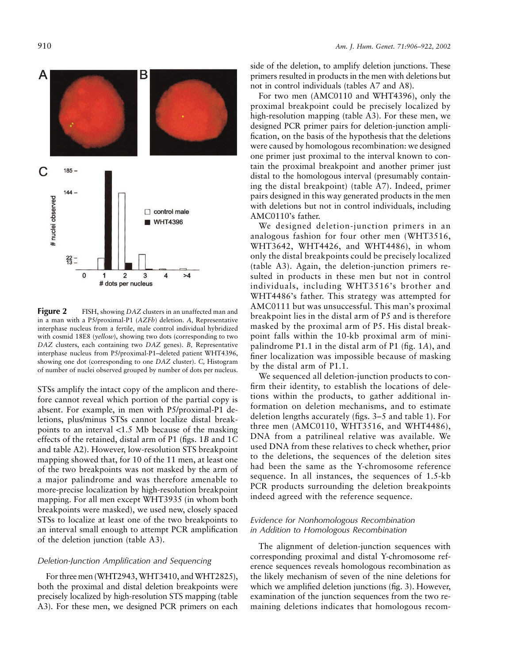

**Figure 2** FISH, showing *DAZ* clusters in an unaffected man and in a man with a P5/proximal-P1 (*AZFb*) deletion. *A,* Representative interphase nucleus from a fertile, male control individual hybridized with cosmid 18E8 (*yellow*), showing two dots (corresponding to two *DAZ* clusters, each containing two *DAZ* genes). *B,* Representative interphase nucleus from P5/proximal-P1–deleted patient WHT4396, showing one dot (corresponding to one *DAZ* cluster). *C,* Histogram of number of nuclei observed grouped by number of dots per nucleus.

STSs amplify the intact copy of the amplicon and therefore cannot reveal which portion of the partial copy is absent. For example, in men with P5/proximal-P1 deletions, plus/minus STSs cannot localize distal breakpoints to an interval  $\langle 1.5 \text{ Mb} \rangle$  because of the masking effects of the retained, distal arm of P1 (figs. 1*B* and 1*C* and table A2). However, low-resolution STS breakpoint mapping showed that, for 10 of the 11 men, at least one of the two breakpoints was not masked by the arm of a major palindrome and was therefore amenable to more-precise localization by high-resolution breakpoint mapping. For all men except WHT3935 (in whom both breakpoints were masked), we used new, closely spaced STSs to localize at least one of the two breakpoints to an interval small enough to attempt PCR amplification of the deletion junction (table A3).

#### *Deletion-Junction Amplification and Sequencing*

For three men (WHT2943, WHT3410, and WHT2825), both the proximal and distal deletion breakpoints were precisely localized by high-resolution STS mapping (table A3). For these men, we designed PCR primers on each

side of the deletion, to amplify deletion junctions. These primers resulted in products in the men with deletions but not in control individuals (tables A7 and A8).

For two men (AMC0110 and WHT4396), only the proximal breakpoint could be precisely localized by high-resolution mapping (table A3). For these men, we designed PCR primer pairs for deletion-junction amplification, on the basis of the hypothesis that the deletions were caused by homologous recombination: we designed one primer just proximal to the interval known to contain the proximal breakpoint and another primer just distal to the homologous interval (presumably containing the distal breakpoint) (table A7). Indeed, primer pairs designed in this way generated products in the men with deletions but not in control individuals, including AMC0110's father.

We designed deletion-junction primers in an analogous fashion for four other men (WHT3516, WHT3642, WHT4426, and WHT4486), in whom only the distal breakpoints could be precisely localized (table A3). Again, the deletion-junction primers resulted in products in these men but not in control individuals, including WHT3516's brother and WHT4486's father. This strategy was attempted for AMC0111 but was unsuccessful. This man's proximal breakpoint lies in the distal arm of P5 and is therefore masked by the proximal arm of P5. His distal breakpoint falls within the 10-kb proximal arm of minipalindrome P1.1 in the distal arm of P1 (fig. 1*A*), and finer localization was impossible because of masking by the distal arm of P1.1.

We sequenced all deletion-junction products to confirm their identity, to establish the locations of deletions within the products, to gather additional information on deletion mechanisms, and to estimate deletion lengths accurately (figs. 3–5 and table 1). For three men (AMC0110, WHT3516, and WHT4486), DNA from a patrilineal relative was available. We used DNA from these relatives to check whether, prior to the deletions, the sequences of the deletion sites had been the same as the Y-chromosome reference sequence. In all instances, the sequences of 1.5-kb PCR products surrounding the deletion breakpoints indeed agreed with the reference sequence.

# *Evidence for Nonhomologous Recombination in Addition to Homologous Recombination*

The alignment of deletion-junction sequences with corresponding proximal and distal Y-chromosome reference sequences reveals homologous recombination as the likely mechanism of seven of the nine deletions for which we amplified deletion junctions (fig. 3). However, examination of the junction sequences from the two remaining deletions indicates that homologous recom-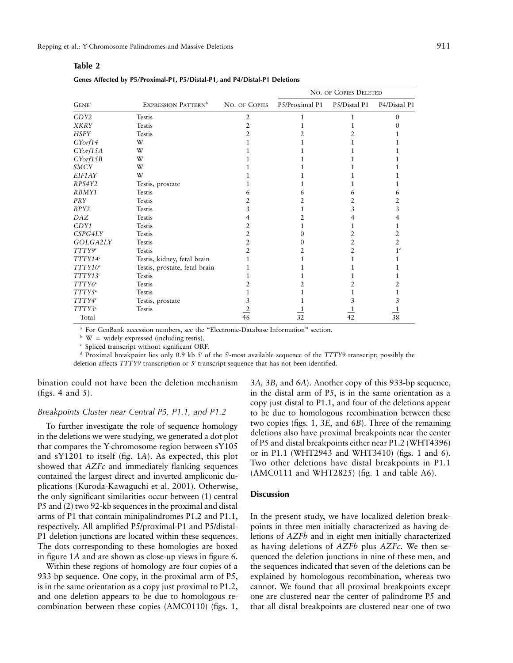|                     |                                 |                |                | NO. OF COPIES DELETED |                |
|---------------------|---------------------------------|----------------|----------------|-----------------------|----------------|
| GENE <sup>a</sup>   | EXPRESSION PATTERN <sup>b</sup> | NO. OF COPIES  | P5/Proximal P1 | P5/Distal P1          | P4/Distal P1   |
| CDY <sub>2</sub>    | <b>Testis</b>                   | 2              |                |                       | $\Omega$       |
| XKRY                | <b>Testis</b>                   | 2              |                |                       |                |
| HSFY                | <b>Testis</b>                   | $\mathfrak{D}$ |                | 2.                    |                |
| CYorf14             | W                               |                |                |                       |                |
| CYorf15A            | W                               |                |                |                       |                |
| CYorf15B            | W                               |                |                |                       |                |
| SMCY                | W                               |                |                |                       |                |
| EIF1AY              | W                               |                |                |                       |                |
| RPS4Y2              | Testis, prostate                |                |                |                       |                |
| RBMY1               | <b>Testis</b>                   | 6              | 6              | 6                     | 6              |
| PRY                 | <b>Testis</b>                   | $\overline{2}$ | 2              | 2                     |                |
| BPY2                | <b>Testis</b>                   | 3              | 1              | 3                     | 3              |
| DAZ                 | <b>Testis</b>                   |                |                | 4                     | 4              |
| CDY1                | <b>Testis</b>                   | 2              |                |                       |                |
| CSPG4LY             | <b>Testis</b>                   | 2              | 0              | 2                     | 2              |
| GOLGA2LY            | <b>Testis</b>                   | $\overline{2}$ | 0              | 2                     | 2              |
| TTTY9 <sup>c</sup>  | <b>Testis</b>                   | $\mathfrak{D}$ | 2              | $\mathfrak{D}$        | 1 <sup>d</sup> |
| TTTY14 <sup>c</sup> | Testis, kidney, fetal brain     |                |                |                       |                |
| TTTY10 <sup>c</sup> | Testis, prostate, fetal brain   |                |                |                       |                |
| TTTY13 <sup>c</sup> | <b>Testis</b>                   |                |                |                       |                |
| TTTY6 <sup>c</sup>  | <b>Testis</b>                   | 2              |                |                       |                |
| TTTY5 <sup>c</sup>  | <b>Testis</b>                   |                |                |                       |                |
| TTTY4 <sup>c</sup>  | Testis, prostate                | 3              |                |                       |                |
| TTTY3 <sup>c</sup>  | <b>Testis</b>                   |                |                |                       |                |
| Total               |                                 | $\frac{2}{46}$ | 32             | 42                    | 38             |

**Table 2**

**Genes Affected by P5/Proximal-P1, P5/Distal-P1, and P4/Distal-P1 Deletions**

<sup>a</sup> For GenBank accession numbers, see the "Electronic-Database Information" section.

 $\mathbf{b}$  W = widely expressed (including testis).

<sup>c</sup> Spliced transcript without significant ORF.

<sup>d</sup> Proximal breakpoint lies only 0.9 kb 5' of the 5'-most available sequence of the *TTTY9* transcript; possibly the deletion affects *TTTY9* transcription or 5' transcript sequence that has not been identified.

bination could not have been the deletion mechanism (figs. 4 and 5).

# *Breakpoints Cluster near Central P5, P1.1, and P1.2*

To further investigate the role of sequence homology in the deletions we were studying, we generated a dot plot that compares the Y-chromosome region between sY105 and sY1201 to itself (fig. 1*A*). As expected, this plot showed that *AZFc* and immediately flanking sequences contained the largest direct and inverted ampliconic duplications (Kuroda-Kawaguchi et al. 2001). Otherwise, the only significant similarities occur between (1) central P5 and (2) two 92-kb sequences in the proximal and distal arms of P1 that contain minipalindromes P1.2 and P1.1, respectively. All amplified P5/proximal-P1 and P5/distal-P1 deletion junctions are located within these sequences. The dots corresponding to these homologies are boxed in figure 1*A* and are shown as close-up views in figure 6.

Within these regions of homology are four copies of a 933-bp sequence. One copy, in the proximal arm of P5, is in the same orientation as a copy just proximal to P1.2, and one deletion appears to be due to homologous recombination between these copies (AMC0110) (figs. 1,

3*A,* 3*B,* and 6*A*). Another copy of this 933-bp sequence, in the distal arm of P5, is in the same orientation as a copy just distal to P1.1, and four of the deletions appear to be due to homologous recombination between these two copies (figs. 1, 3*E,* and 6*B*). Three of the remaining deletions also have proximal breakpoints near the center of P5 and distal breakpoints either near P1.2 (WHT4396) or in P1.1 (WHT2943 and WHT3410) (figs. 1 and 6). Two other deletions have distal breakpoints in P1.1  $(AMC0111$  and WHT2825) (fig. 1 and table A6).

## **Discussion**

In the present study, we have localized deletion breakpoints in three men initially characterized as having deletions of *AZFb* and in eight men initially characterized as having deletions of *AZFb* plus *AZFc.* We then sequenced the deletion junctions in nine of these men, and the sequences indicated that seven of the deletions can be explained by homologous recombination, whereas two cannot. We found that all proximal breakpoints except one are clustered near the center of palindrome P5 and that all distal breakpoints are clustered near one of two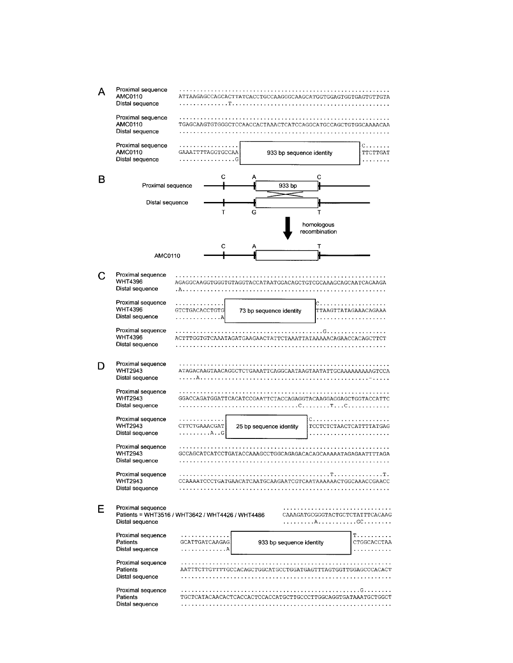|   | Proximal sequence<br>AMC0110<br>Distal sequence        | . T.                                             | ATTAAGAGCCAGCACTTATCACCTGCCAAGGGCAAGCATGGTGGAGTGGTGAGTGTTGTA |                                 |                                   |
|---|--------------------------------------------------------|--------------------------------------------------|--------------------------------------------------------------|---------------------------------|-----------------------------------|
|   | Proximal sequence<br>AMC0110<br>Distal sequence        |                                                  | TGAGCAAGTGTGGGCTCCAACCACTAAACTCATCCAGGCATGCCAGCTGTGGCAAAACAA |                                 |                                   |
|   | Proximal sequence<br>AMC0110<br>Distal sequence        | GAAATTTTAGGTGCCAA<br>.                           | 933 bp sequence identity                                     |                                 | $C. \ldots$ .<br>TTCTTGAT         |
| B | Proximal sequence                                      | с                                                | А<br>933 bp                                                  | с                               |                                   |
|   | Distal sequence                                        | т                                                | G                                                            | т<br>homologous                 |                                   |
|   | <b>AMC0110</b>                                         | с                                                | А                                                            | recombination<br>т              |                                   |
|   |                                                        |                                                  |                                                              |                                 |                                   |
|   | Proximal sequence<br><b>WHT4396</b><br>Distal sequence | . A                                              | AGAGGCAAGGTGGGTGTAGGTACCATAATGGACAGCTGTCGCAAAGCAGCAATCAGAAGA |                                 |                                   |
|   | Proximal sequence<br><b>WHT4396</b><br>Distal sequence | . <i>.</i> .<br>GTCTGACACCTGTG<br>.              | 73 bp sequence identity                                      | c                               | TTAAGTTATAGAAACAGAAA              |
|   | Proximal sequence<br><b>WHT4396</b><br>Distal sequence |                                                  | ACTTTGGTGTCAAATAGATGAAGAACTATTCTAAATTATAAAAACAGAACCACAGCTTCT | . G. .                          |                                   |
|   | Proximal sequence<br>WHT2943<br>Distal sequence        | . <i>.</i> A                                     |                                                              |                                 |                                   |
|   | Proximal sequence<br>WHT2943<br>Distal sequence        |                                                  | GGACCAGATGGATTCACATCCGAATTCTACCAGAGGTACAAGGAGGAGCTGGTACCATTC | . <i>.</i> C <i>.</i> . T C     |                                   |
|   | Proximal sequence<br><b>WHT2943</b><br>Distal sequence | CTTCTGAAACGAT<br>. A. . G                        | 25 bp sequence identity                                      | C.<br>TCCTCTCTAACTCATTTTATGAG   |                                   |
|   | Proximal sequence<br><b>WHT2943</b><br>Distal sequence |                                                  | GCCAGCATCATCCTGATACCAAAGCCTGGCAGAGACACAGCAAAAATAGAGAATTTTAGA |                                 |                                   |
|   | Proximal sequence<br><b>WHT2943</b><br>Distal sequence |                                                  | CCAAAATCCCTGATGAACATCAATGCAAGAATCGTCAATAAAAAACTGGCAAACCGAACC |                                 |                                   |
| Е | Proximal sequence<br>Distal sequence                   | Patients = WHT3516 / WHT3642 / WHT4426 / WHT4486 |                                                              | CAAAGATGCGGGTACTGCTCTATTTCACAAG |                                   |
|   | Proximal sequence<br>Patients<br>Distal sequence       | .<br>GCATTGATCAAGAG<br>. A                       | 933 bp sequence identity                                     |                                 | T.<br>CTGGCACCTAA<br>. <i>.</i> . |
|   | Proximal sequence<br>Patients<br>Distal sequence       |                                                  | AATTTCTTGTTTTGCCACAGCTGGCATGCCTGGATGAGTTTAGTGGTTGGAGCCCACACT |                                 |                                   |
|   | Proximal sequence<br>Patients<br>Distal sequence       |                                                  | TGCTCATACAACACTCACCACTCCACCATGCTTGCCCTTGGCAGGTGATAAATGCTGGCT |                                 | . G.                              |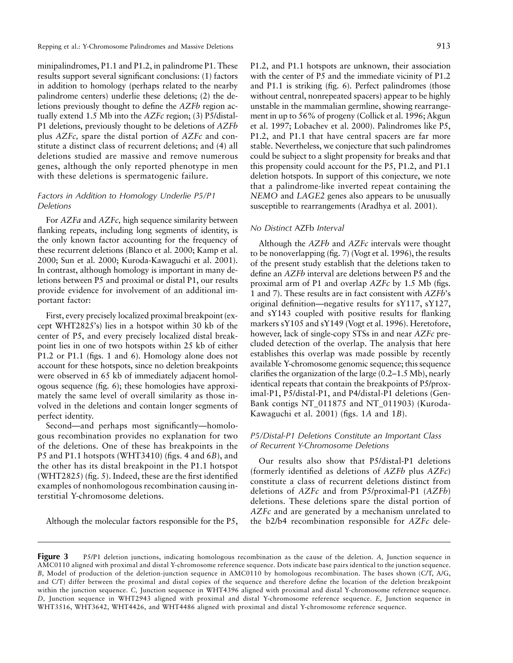Repping et al.: Y-Chromosome Palindromes and Massive Deletions 913

minipalindromes, P1.1 and P1.2, in palindrome P1. These results support several significant conclusions: (1) factors in addition to homology (perhaps related to the nearby palindrome centers) underlie these deletions; (2) the deletions previously thought to define the *AZFb* region actually extend 1.5 Mb into the *AZFc* region; (3) P5/distal-P1 deletions, previously thought to be deletions of *AZFb* plus *AZFc,* spare the distal portion of *AZFc* and constitute a distinct class of recurrent deletions; and (4) all deletions studied are massive and remove numerous genes, although the only reported phenotype in men with these deletions is spermatogenic failure.

# *Factors in Addition to Homology Underlie P5/P1 Deletions*

For *AZFa* and *AZFc,* high sequence similarity between flanking repeats, including long segments of identity, is the only known factor accounting for the frequency of these recurrent deletions (Blanco et al. 2000; Kamp et al. 2000; Sun et al. 2000; Kuroda-Kawaguchi et al. 2001). In contrast, although homology is important in many deletions between P5 and proximal or distal P1, our results provide evidence for involvement of an additional important factor:

First, every precisely localized proximal breakpoint (except WHT2825's) lies in a hotspot within 30 kb of the center of P5, and every precisely localized distal breakpoint lies in one of two hotspots within 25 kb of either P1.2 or P1.1 (figs. 1 and 6). Homology alone does not account for these hotspots, since no deletion breakpoints were observed in 65 kb of immediately adjacent homologous sequence (fig. 6); these homologies have approximately the same level of overall similarity as those involved in the deletions and contain longer segments of perfect identity.

Second—and perhaps most significantly—homologous recombination provides no explanation for two of the deletions. One of these has breakpoints in the P5 and P1.1 hotspots (WHT3410) (figs. 4 and 6*B*), and the other has its distal breakpoint in the P1.1 hotspot (WHT2825) (fig. 5). Indeed, these are the first identified examples of nonhomologous recombination causing interstitial Y-chromosome deletions.

Although the molecular factors responsible for the P5,

P1.2, and P1.1 hotspots are unknown, their association with the center of P5 and the immediate vicinity of P1.2 and P1.1 is striking (fig. 6). Perfect palindromes (those without central, nonrepeated spacers) appear to be highly unstable in the mammalian germline, showing rearrangement in up to 56% of progeny (Collick et al. 1996; Akgun et al. 1997; Lobachev et al. 2000). Palindromes like P5, P1.2, and P1.1 that have central spacers are far more stable. Nevertheless, we conjecture that such palindromes could be subject to a slight propensity for breaks and that this propensity could account for the P5, P1.2, and P1.1 deletion hotspots. In support of this conjecture, we note that a palindrome-like inverted repeat containing the *NEMO* and *LAGE2* genes also appears to be unusually susceptible to rearrangements (Aradhya et al. 2001).

## *No Distinct* AZFb *Interval*

Although the *AZFb* and *AZFc* intervals were thought to be nonoverlapping (fig. 7) (Vogt et al. 1996), the results of the present study establish that the deletions taken to define an *AZFb* interval are deletions between P5 and the proximal arm of P1 and overlap *AZFc* by 1.5 Mb (figs. 1 and 7). These results are in fact consistent with *AZFb*'s original definition—negative results for sY117, sY127, and sY143 coupled with positive results for flanking markers sY105 and sY149 (Vogt et al. 1996). Heretofore, however, lack of single-copy STSs in and near *AZFc* precluded detection of the overlap. The analysis that here establishes this overlap was made possible by recently available Y-chromosome genomic sequence; this sequence clarifies the organization of the large (0.2–1.5 Mb), nearly identical repeats that contain the breakpoints of P5/proximal-P1, P5/distal-P1, and P4/distal-P1 deletions (Gen-Bank contigs NT\_011875 and NT\_011903) (Kuroda-Kawaguchi et al. 2001) (figs. 1*A* and 1*B*).

# *P5/Distal-P1 Deletions Constitute an Important Class of Recurrent Y-Chromosome Deletions*

Our results also show that P5/distal-P1 deletions (formerly identified as deletions of *AZFb* plus *AZFc*) constitute a class of recurrent deletions distinct from deletions of *AZFc* and from P5/proximal-P1 (*AZFb*) deletions. These deletions spare the distal portion of *AZFc* and are generated by a mechanism unrelated to the b2/b4 recombination responsible for *AZFc* dele-

**Figure 3** P5/P1 deletion junctions, indicating homologous recombination as the cause of the deletion. *A,* Junction sequence in AMC0110 aligned with proximal and distal Y-chromosome reference sequence. Dots indicate base pairs identical to the junction sequence. *B,* Model of production of the deletion-junction sequence in AMC0110 by homologous recombination. The bases shown (C/T, A/G, and C/T) differ between the proximal and distal copies of the sequence and therefore define the location of the deletion breakpoint within the junction sequence. *C,* Junction sequence in WHT4396 aligned with proximal and distal Y-chromosome reference sequence. *D,* Junction sequence in WHT2943 aligned with proximal and distal Y-chromosome reference sequence. *E,* Junction sequence in WHT3516, WHT3642, WHT4426, and WHT4486 aligned with proximal and distal Y-chromosome reference sequence.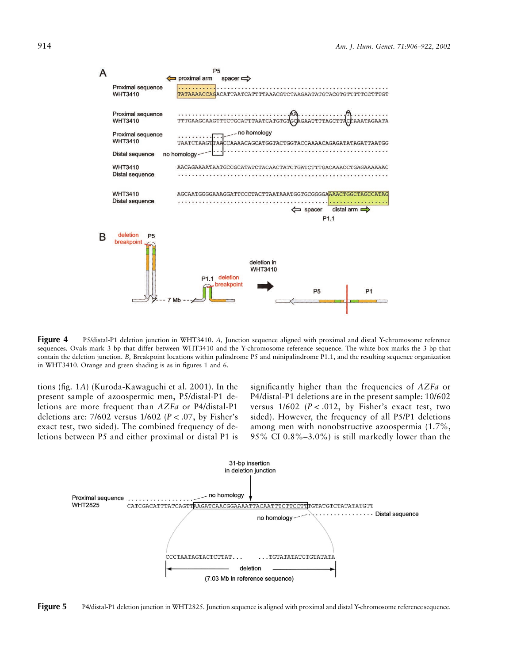

**Figure 4** P5/distal-P1 deletion junction in WHT3410. *A,* Junction sequence aligned with proximal and distal Y-chromosome reference sequences. Ovals mark 3 bp that differ between WHT3410 and the Y-chromosome reference sequence. The white box marks the 3 bp that contain the deletion junction. *B,* Breakpoint locations within palindrome P5 and minipalindrome P1.1, and the resulting sequence organization in WHT3410. Orange and green shading is as in figures 1 and 6.

tions (fig. 1*A*) (Kuroda-Kawaguchi et al. 2001). In the present sample of azoospermic men, P5/distal-P1 deletions are more frequent than *AZFa* or P4/distal-P1 deletions are: 7/602 versus 1/602 ( $P < .07$ , by Fisher's exact test, two sided). The combined frequency of deletions between P5 and either proximal or distal P1 is

significantly higher than the frequencies of *AZFa* or P4/distal-P1 deletions are in the present sample: 10/602 versus  $1/602$   $(P < .012$ , by Fisher's exact test, two sided). However, the frequency of all P5/P1 deletions among men with nonobstructive azoospermia (1.7%, 95% CI 0.8%–3.0%) is still markedly lower than the



Figure 5 P4/distal-P1 deletion junction in WHT2825. Junction sequence is aligned with proximal and distal Y-chromosome reference sequence.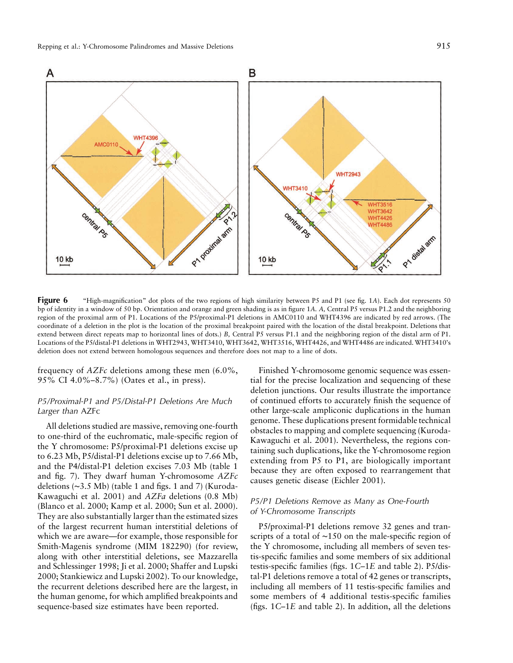

**Figure 6** "High-magnification" dot plots of the two regions of high similarity between P5 and P1 (see fig. 1A). Each dot represents 50 bp of identity in a window of 50 bp. Orientation and orange and green shading is as in figure 1*A. A,* Central P5 versus P1.2 and the neighboring region of the proximal arm of P1. Locations of the P5/proximal-P1 deletions in AMC0110 and WHT4396 are indicated by red arrows. (The coordinate of a deletion in the plot is the location of the proximal breakpoint paired with the location of the distal breakpoint. Deletions that extend between direct repeats map to horizontal lines of dots.) *B,* Central P5 versus P1.1 and the neighboring region of the distal arm of P1. Locations of the P5/distal-P1 deletions in WHT2943, WHT3410, WHT3642, WHT3516, WHT4426, and WHT4486 are indicated. WHT3410's deletion does not extend between homologous sequences and therefore does not map to a line of dots.

frequency of *AZFc* deletions among these men (6.0%, 95% CI 4.0%–8.7%) (Oates et al., in press).

## *P5/Proximal-P1 and P5/Distal-P1 Deletions Are Much Larger than* AZFc

All deletions studied are massive, removing one-fourth to one-third of the euchromatic, male-specific region of the Y chromosome: P5/proximal-P1 deletions excise up to 6.23 Mb, P5/distal-P1 deletions excise up to 7.66 Mb, and the P4/distal-P1 deletion excises 7.03 Mb (table 1 and fig. 7). They dwarf human Y-chromosome *AZFc* deletions (∼3.5 Mb) (table 1 and figs. 1 and 7) (Kuroda-Kawaguchi et al. 2001) and *AZFa* deletions (0.8 Mb) (Blanco et al. 2000; Kamp et al. 2000; Sun et al. 2000). They are also substantially larger than the estimated sizes of the largest recurrent human interstitial deletions of which we are aware—for example, those responsible for Smith-Magenis syndrome (MIM 182290) (for review, along with other interstitial deletions, see Mazzarella and Schlessinger 1998; Ji et al. 2000; Shaffer and Lupski 2000; Stankiewicz and Lupski 2002). To our knowledge, the recurrent deletions described here are the largest, in the human genome, for which amplified breakpoints and sequence-based size estimates have been reported.

Finished Y-chromosome genomic sequence was essential for the precise localization and sequencing of these deletion junctions. Our results illustrate the importance of continued efforts to accurately finish the sequence of other large-scale ampliconic duplications in the human genome. These duplications present formidable technical obstacles to mapping and complete sequencing (Kuroda-Kawaguchi et al. 2001). Nevertheless, the regions containing such duplications, like the Y-chromosome region extending from P5 to P1, are biologically important because they are often exposed to rearrangement that causes genetic disease (Eichler 2001).

# *P5/P1 Deletions Remove as Many as One-Fourth of Y-Chromosome Transcripts*

P5/proximal-P1 deletions remove 32 genes and transcripts of a total of ∼150 on the male-specific region of the Y chromosome, including all members of seven testis-specific families and some members of six additional testis-specific families (figs. 1*C*–1*E* and table 2). P5/distal-P1 deletions remove a total of 42 genes or transcripts, including all members of 11 testis-specific families and some members of 4 additional testis-specific families (figs. 1*C*–1*E* and table 2). In addition, all the deletions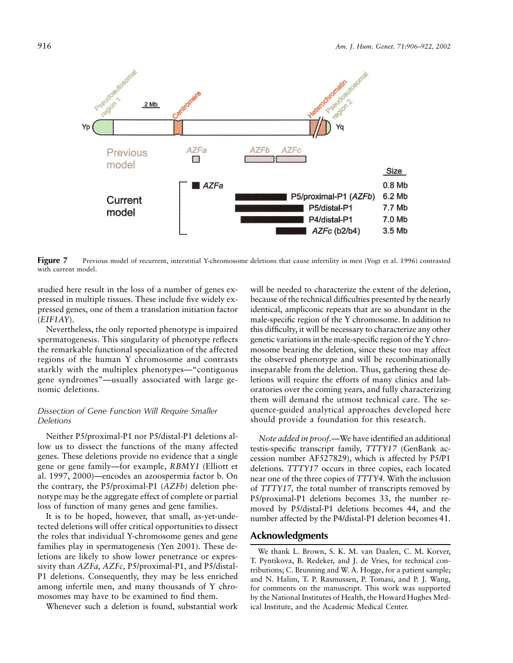

**Figure 7** Previous model of recurrent, interstitial Y-chromosome deletions that cause infertility in men (Vogt et al. 1996) contrasted with current model.

studied here result in the loss of a number of genes expressed in multiple tissues. These include five widely expressed genes, one of them a translation initiation factor (*EIF1AY*).

Nevertheless, the only reported phenotype is impaired spermatogenesis. This singularity of phenotype reflects the remarkable functional specialization of the affected regions of the human Y chromosome and contrasts starkly with the multiplex phenotypes—"contiguous gene syndromes"—usually associated with large genomic deletions.

# *Dissection of Gene Function Will Require Smaller Deletions*

Neither P5/proximal-P1 nor P5/distal-P1 deletions allow us to dissect the functions of the many affected genes. These deletions provide no evidence that a single gene or gene family—for example, *RBMY1* (Elliott et al. 1997, 2000)—encodes an azoospermia factor b. On the contrary, the P5/proximal-P1 (*AZFb*) deletion phenotype may be the aggregate effect of complete or partial loss of function of many genes and gene families.

It is to be hoped, however, that small, as-yet-undetected deletions will offer critical opportunities to dissect the roles that individual Y-chromosome genes and gene families play in spermatogenesis (Yen 2001). These deletions are likely to show lower penetrance or expressivity than *AZFa, AZFc,* P5/proximal-P1, and P5/distal-P1 deletions. Consequently, they may be less enriched among infertile men, and many thousands of Y chromosomes may have to be examined to find them.

Whenever such a deletion is found, substantial work

will be needed to characterize the extent of the deletion, because of the technical difficulties presented by the nearly identical, ampliconic repeats that are so abundant in the male-specific region of the Y chromosome. In addition to this difficulty, it will be necessary to characterize any other genetic variations in the male-specific region of the Y chromosome bearing the deletion, since these too may affect the observed phenotype and will be recombinationally inseparable from the deletion. Thus, gathering these deletions will require the efforts of many clinics and laboratories over the coming years, and fully characterizing them will demand the utmost technical care. The sequence-guided analytical approaches developed here should provide a foundation for this research.

*Note added in proof.—*We have identified an additional testis-specific transcript family, *TTTY17* (GenBank accession number AF527829), which is affected by P5/P1 deletions. *TTTY17* occurs in three copies, each located near one of the three copies of *TTTY4.* With the inclusion of *TTTY17,* the total number of transcripts removed by P5/proximal-P1 deletions becomes 33, the number removed by P5/distal-P1 deletions becomes 44, and the number affected by the P4/distal-P1 deletion becomes 41.

# **Acknowledgments**

We thank L. Brown, S. K. M. van Daalen, C. M. Korver, T. Pyntikova, B. Redeker, and J. de Vries, for technical contributions; C. Brunning and W. A. Hogge, for a patient sample; and N. Halim, T. P. Rasmussen, P. Tomasi, and P. J. Wang, for comments on the manuscript. This work was supported by the National Institutes of Health, the Howard Hughes Medical Institute, and the Academic Medical Center.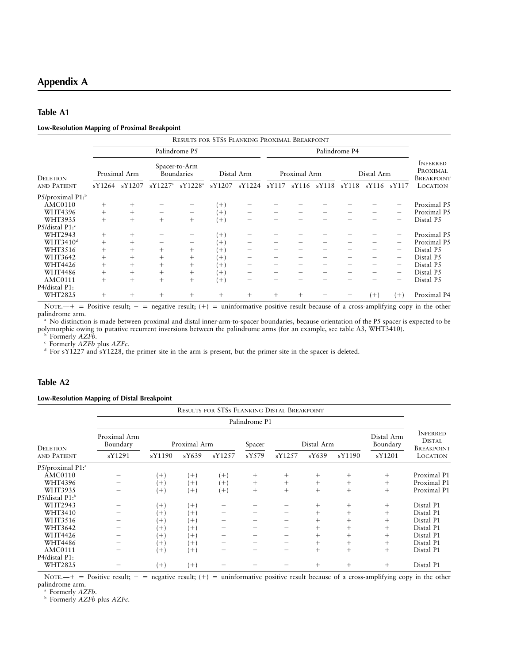# **Appendix A**

# **Table A1**

#### **Low-Resolution Mapping of Proximal Breakpoint**

|                              |        |              |            | RESULTS FOR STSS FLANKING PROXIMAL BREAKPOINT |          |            |       |              |       |               |            |                          |                                                  |
|------------------------------|--------|--------------|------------|-----------------------------------------------|----------|------------|-------|--------------|-------|---------------|------------|--------------------------|--------------------------------------------------|
|                              |        |              |            | Palindrome P5                                 |          |            |       |              |       | Palindrome P4 |            |                          |                                                  |
| <b>DELETION</b>              |        | Proximal Arm |            | Spacer-to-Arm<br>Boundaries                   |          | Distal Arm |       | Proximal Arm |       |               | Distal Arm |                          | <b>INFERRED</b><br>PROXIMAL<br><b>BREAKPOINT</b> |
| AND PATIENT                  | sY1264 | sY1207       | $sY1227^a$ | $sY1228^a$                                    | sY1207   | sY1224     | sY117 | sY116        | sY118 | sY118         | sY116      | sY117                    | <b>LOCATION</b>                                  |
| P5/proximal P1: <sup>b</sup> |        |              |            |                                               |          |            |       |              |       |               |            |                          |                                                  |
| <b>AMC0110</b>               | $^+$   | $^+$         |            |                                               | $^{+}$   |            |       |              |       |               |            |                          | Proximal P5                                      |
| WHT4396                      | $^{+}$ | $^{+}$       |            | -                                             | $^{+}$   |            |       |              |       |               |            |                          | Proximal P5                                      |
| WHT3935                      | $^{+}$ | $^{+}$       | $^{+}$     | $^+$                                          | $^{+}$   |            |       |              |       |               |            |                          | Distal P5                                        |
| P5/distal P1: <sup>c</sup>   |        |              |            |                                               |          |            |       |              |       |               |            |                          |                                                  |
| WHT2943                      | $^{+}$ | $^+$         |            |                                               | $^{(+)}$ |            |       |              |       |               |            |                          | Proximal P5                                      |
| WHT3410 <sup>d</sup>         | $^{+}$ | $^{+}$       |            |                                               | $^{+}$   |            |       |              |       |               |            | -                        | Proximal P5                                      |
| WHT3516                      | $^{+}$ | $^{+}$       | $^{+}$     | $^+$                                          | $^{+}$   |            |       |              |       |               |            | $\overline{\phantom{0}}$ | Distal P5                                        |
| WHT3642                      | $+$    | $^{+}$       | $^{+}$     | $^{+}$                                        | $^{+}$   |            |       |              |       |               |            |                          | Distal P5                                        |
| WHT4426                      | $^{+}$ | $^{+}$       | $^{+}$     | $^{+}$                                        | $^{+}$   |            |       |              |       |               |            | $\qquad \qquad -$        | Distal P5                                        |
| <b>WHT4486</b>               | $^{+}$ | $^+$         | $^{+}$     | $^+$                                          | $^{+}$   |            |       |              |       |               |            | $\qquad \qquad -$        | Distal P5                                        |
| AMC0111                      | $^{+}$ | $^{+}$       | $^{+}$     | $^{+}$                                        | $+$      |            |       |              |       |               |            |                          | Distal P5                                        |
| P4/distal P1:<br>WHT2825     | $^{+}$ | $^{+}$       | $^{+}$     | $^+$                                          | $^{+}$   | $^{+}$     | $^+$  | $^{+}$       |       |               | $(+)$      | $(+)$                    | Proximal P4                                      |

NOTE.— $+$  = Positive result; - = negative result; (+) = uninformative positive result because of a cross-amplifying copy in the other palindrome arm.

<sup>a</sup> No distinction is made between proximal and distal inner-arm-to-spacer boundaries, because orientation of the P5 spacer is expected to be polymorphic owing to putative recurrent inversions between the palindrome arms (for an example, see table A3, WHT3410).

<sup>b</sup> Formerly *AZFb.*

<sup>c</sup> Formerly *AZFb* plus *AZFc.*

<sup>d</sup> For sY1227 and sY1228, the primer site in the arm is present, but the primer site in the spacer is deleted.

# **Table A2**

## **Low-Resolution Mapping of Distal Breakpoint**

|                              |                          |          |              | <b>RESULTS FOR STSS FLANKING DISTAL BREAKPOINT</b> |               |        |            |        |                        |                                                       |
|------------------------------|--------------------------|----------|--------------|----------------------------------------------------|---------------|--------|------------|--------|------------------------|-------------------------------------------------------|
|                              |                          |          |              |                                                    | Palindrome P1 |        |            |        |                        |                                                       |
| <b>DELETION</b>              | Proximal Arm<br>Boundary |          | Proximal Arm |                                                    | Spacer        |        | Distal Arm |        | Distal Arm<br>Boundary | <b>INFERRED</b><br><b>DISTAL</b><br><b>BREAKPOINT</b> |
| AND PATIENT                  | sY1291                   | sY1190   | sY639        | sY1257                                             | sY579         | sY1257 | sY639      | sY1190 | sY1201                 | <b>LOCATION</b>                                       |
| P5/proximal P1: <sup>a</sup> |                          |          |              |                                                    |               |        |            |        |                        |                                                       |
| <b>AMC0110</b>               |                          | $^{+}$   | $(+)$        | $(+)$                                              | $^{+}$        | $^{+}$ | $^{+}$     | $^{+}$ | $^{+}$                 | Proximal P1                                           |
| <b>WHT4396</b>               |                          | $^{+}$   | $^{(+)}$     | $(+)$                                              | $^{+}$        | $^{+}$ | $^{+}$     | $+$    | $^{+}$                 | Proximal P1                                           |
| WHT3935                      |                          | $^{+}$   | $^{(+)}$     | $(+)$                                              | $^{+}$        | $+$    | $^{+}$     | $^{+}$ | $^{+}$                 | Proximal P1                                           |
| P5/distal P1: <sup>b</sup>   |                          |          |              |                                                    |               |        |            |        |                        |                                                       |
| WHT2943                      |                          | $^{+}$   | $^{(+)}$     |                                                    |               |        | $^{+}$     | $^{+}$ | $^{+}$                 | Distal P1                                             |
| WHT3410                      |                          | $^{(+)}$ | $+$          |                                                    |               |        | $^{+}$     | $+$    | $^{+}$                 | Distal P1                                             |
| WHT3516                      |                          | $^{(+)}$ | $^{+}$       |                                                    |               |        | $^{+}$     | $+$    | $^{+}$                 | Distal P1                                             |
| WHT3642                      |                          | $^{+}$   | $^{+}$       |                                                    |               |        | $^{+}$     | $+$    | $^{+}$                 | Distal P1                                             |
| WHT4426                      |                          | $^{(+)}$ | $^{+}$       |                                                    |               |        | $^{+}$     | $+$    | $^{+}$                 | Distal P1                                             |
| <b>WHT4486</b>               |                          | $^{(+)}$ | $^{+}$       |                                                    |               |        | $^{+}$     | $+$    | $^{+}$                 | Distal P1                                             |
| AMC0111                      |                          | $^{+}$   | $^{(+)}$     |                                                    |               |        | $^{+}$     | $^{+}$ | $^{+}$                 | Distal P1                                             |
| P4/distal P1:                |                          |          |              |                                                    |               |        |            |        |                        |                                                       |
| WHT2825                      |                          | $(+)$    | $^{(+)}$     |                                                    |               |        | $^+$       | $^{+}$ | $^{+}$                 | Distal P1                                             |

NOTE. $-+$  = Positive result; - = negative result; (+) = uninformative positive result because of a cross-amplifying copy in the other palindrome arm.

<sup>a</sup> Formerly *AZFb.*

<sup>b</sup> Formerly *AZFb* plus *AZFc.*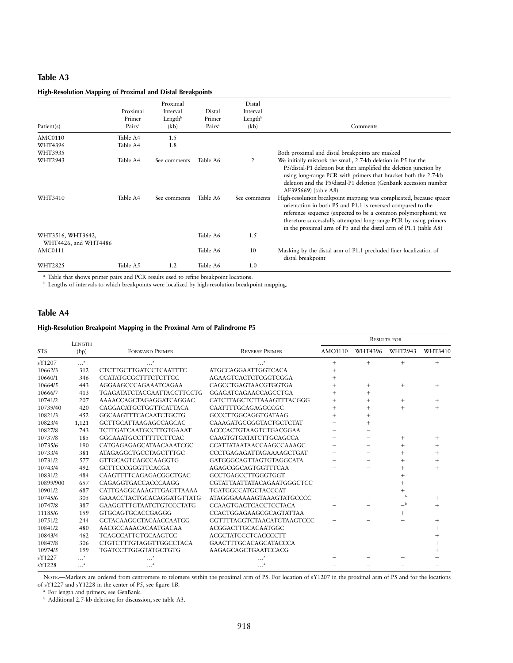# **Table A3**

# **High-Resolution Mapping of Proximal and Distal Breakpoints**

| Patient(s)                                | Proximal<br>Primer<br>Pairs <sup>a</sup> | Proximal<br>Interval<br>Length <sup>b</sup><br>(kb) | Distal<br>Primer<br>Pairs <sup>a</sup> | Distal<br>Interval<br>Length $b$<br>(kb) | Comments                                                                                                                                                                                                                                                                                                                                  |
|-------------------------------------------|------------------------------------------|-----------------------------------------------------|----------------------------------------|------------------------------------------|-------------------------------------------------------------------------------------------------------------------------------------------------------------------------------------------------------------------------------------------------------------------------------------------------------------------------------------------|
| AMC0110                                   | Table A4                                 | 1.5                                                 |                                        |                                          |                                                                                                                                                                                                                                                                                                                                           |
| WHT4396                                   | Table A4                                 | 1.8                                                 |                                        |                                          |                                                                                                                                                                                                                                                                                                                                           |
| WHT3935                                   |                                          |                                                     |                                        |                                          | Both proximal and distal breakpoints are masked                                                                                                                                                                                                                                                                                           |
| WHT2943                                   | Table A4                                 | See comments                                        | Table A6                               | 2                                        | We initially mistook the small, 2.7-kb deletion in P5 for the<br>P5/distal-P1 deletion but then amplified the deletion junction by<br>using long-range PCR with primers that bracket both the 2.7-kb<br>deletion and the P5/distal-P1 deletion (GenBank accession number<br>AF395669) (table A8)                                          |
| WHT3410                                   | Table A4                                 | See comments                                        | Table A6                               | See comments                             | High-resolution breakpoint mapping was complicated, because spacer<br>orientation in both P5 and P1.1 is reversed compared to the<br>reference sequence (expected to be a common polymorphism); we<br>therefore successfully attempted long-range PCR by using primers<br>in the proximal arm of P5 and the distal arm of P1.1 (table A8) |
| WHT3516, WHT3642,<br>WHT4426, and WHT4486 |                                          |                                                     | Table A6                               | 1.5                                      |                                                                                                                                                                                                                                                                                                                                           |
| AMC0111                                   |                                          |                                                     | Table A6                               | 10                                       | Masking by the distal arm of P1.1 precluded finer localization of<br>distal breakpoint                                                                                                                                                                                                                                                    |
| WHT2825                                   | Table A5                                 | 1.2                                                 | Table A6                               | 1.0                                      |                                                                                                                                                                                                                                                                                                                                           |

<sup>a</sup> Table that shows primer pairs and PCR results used to refine breakpoint locations.

**b** Lengths of intervals to which breakpoints were localized by high-resolution breakpoint mapping.

# **Table A4**

## **High-Resolution Breakpoint Mapping in the Proximal Arm of Palindrome P5**

|            | LENGTH |                                   |                                  |                |         | <b>RESULTS FOR</b> |         |
|------------|--------|-----------------------------------|----------------------------------|----------------|---------|--------------------|---------|
| <b>STS</b> | (bp)   | <b>FORWARD PRIMER</b>             | <b>REVERSE PRIMER</b>            | <b>AMC0110</b> | WHT4396 | WHT2943            | WHT3410 |
| sY1207     | "      |                                   |                                  | $^{+}$         | $^{+}$  | $^{+}$             | $^{+}$  |
| 10662/3    | 312    | <b>CTCTTGCTTGATCCTCAATTTC</b>     | <b>ATGCCAGGAATTGGTCACA</b>       |                |         |                    |         |
| 10660/1    | 346    | <b>CCATATGCGCTTTCTCTTGC</b>       | <b>AGAAGTCACTCTCGGTCGGA</b>      | $^{+}$         |         |                    |         |
| 10664/5    | 443    | AGGAAGCCCAGAAATCAGAA              | CAGCCTGAGTAACGTGGTGA             |                | $^{+}$  | $^{+}$             |         |
| 10666/7    | 413    | <b>TGAGATATCTACGAATTACCTTCCTG</b> | GGAGATCAGAACCAGCCTGA             |                | $^{+}$  |                    |         |
| 10741/2    | 207    | AAAACCAGCTAGAGGATCAGGAC           | CATCTTAGCTCTTAAAGTTTACGGG        | $^{+}$         | $^{+}$  | $^{+}$             |         |
| 10739/40   | 420    | CAGGACATGCTGGTTCATTACA            | CAATTTTGCAGAGGCCGC               |                |         | $^{+}$             |         |
| 10821/3    | 452    | <b>GGCAAGTTTCACAATCTGCTG</b>      | <b>GCCCTTGGCAGGTGATAAG</b>       |                | $^{+}$  |                    |         |
| 10823/4    | 1,121  | <b>GCTTGCATTAAGAGCCAGCAC</b>      | CAAAGATGCGGGTACTGCTCTAT          |                |         |                    |         |
| 10827/8    | 743    | <b>TCTTGATCAATGCCTTGTGAAAT</b>    | ACCCACTGTAAGTCTGACGGAA           |                |         |                    |         |
| 10737/8    | 185    | <b>GGCAAATGCCTTTTTCTTCAC</b>      | CAAGTGTGATATCTTGCAGCCA           |                |         | $^+$               |         |
| 10735/6    | 190    | CATGAGAGAGCATAACAAATCGC           | CCATTATAATAACCAAGCCAAAGC         |                |         | $^+$               |         |
| 10733/4    | 381    | ATAGAGGCTGCCTAGCTTTGC             | CCCTGAGAGATTAGAAAAGCTGAT         |                |         | $^{+}$             |         |
| 10731/2    | 577    | <b>GTTGCAGTCAGCCAAGGTG</b>        | GATGGGCAGTTAGTGTAGGCATA          |                |         | $^{+}$             |         |
| 10743/4    | 492    | <b>GCTTCCCGGGTTCACGA</b>          | AGAGCGGCAGTGGTTTCAA              |                |         |                    |         |
| 10831/2    | 484    | CAAGTTTTCAGAGACGGCTGAC            | GCCTGAGCCTTGGGTGGT               |                |         |                    |         |
| 10899/900  | 657    | CAGAGGTGACCACCCAAGG               | CGTATTAATTATACAGAATGGGCTCC       |                |         |                    |         |
| 10901/2    | 687    | <b>CATTGAGGCAAAGTTGAGTTAAAA</b>   | <b>TGATGGCCATGCTACCCAT</b>       |                |         |                    |         |
| 10745/6    | 305    | GAAACCTACTGCACAGGATGTTATG         | <b>ATAGGGAAAAAGTAAAGTATGCCCC</b> |                |         | $_{-}$ b           |         |
| 10747/8    | 387    | <b>GAAGGTTTGTAATCTGTCCCTATG</b>   | CCAAGTGACTCACCTCCTACA            |                |         | $-{}^{\rm b}$      |         |
| 11185/6    | 159    | <b>GTGCAGTGCACCGAGGG</b>          | CCACTGGAGAAGCGCAGTATTAA          |                |         | $^{+}$             |         |
| 10751/2    | 244    | <b>GCTACAAGGCTACAACCAATGG</b>     | GGTTTTAGGTCTAACATGTAAGTCCC       |                |         |                    |         |
| 10841/2    | 480    | AACGCCAAACACAATGACAA              | ACGGACTTGCACAATGGC               |                |         |                    |         |
| 10843/4    | 462    | <b>TCAGCCATTGTGCAAGTCC</b>        | <b>ACGCTATCCCTCACCCCTT</b>       |                |         |                    |         |
| 10847/8    | 306    | <b>CTGTCTTTGTAGGTTGGCCTACA</b>    | GAACTTTGCACAGCATACCCA            |                |         |                    |         |
| 10974/5    | 199    | <b>TGATCCTTGGGTATGCTGTG</b>       | AAGAGCAGCTGAATCCACG              |                |         |                    |         |
| sY1227     | .      |                                   |                                  |                |         |                    |         |
| sY1228     | .      |                                   |                                  |                |         |                    |         |

NOTE.—Markers are ordered from centromere to telomere within the proximal arm of P5. For location of sY1207 in the proximal arm of P5 and for the locations of sY1227 and sY1228 in the center of P5, see figure 1*B.*

<sup>a</sup> For length and primers, see GenBank.

<sup>b</sup> Additional 2.7-kb deletion; for discussion, see table A3.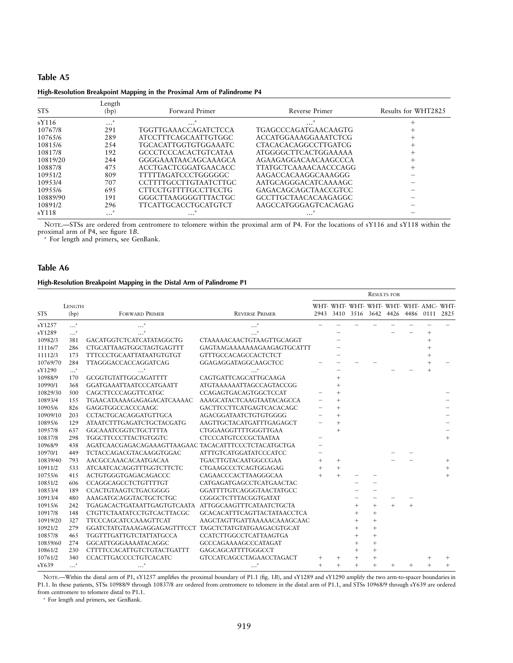# **Table A5 High-Resolution Breakpoint Mapping in the Proximal Arm of Palindrome P4**

| <b>STS</b> | Length<br>(bp) | Forward Primer               | Reverse Primer              | Results for WHT2825 |
|------------|----------------|------------------------------|-----------------------------|---------------------|
| sY116      | $\cdots$       | $\cdots$                     | .                           |                     |
| 10767/8    | 291            | TGGTTGAAACCAGATCTCCA         | TGAGCCCAGATGAACAAGTG        |                     |
| 10765/6    | 289            | <b>ATCCTTTCAGCAATTGTGGC</b>  | ACCATGGAAAGGAAATCTCG        |                     |
| 10815/6    | 2.54           | TGCACATTGGTGTGGAAATC         | <b>CTACACACAGGCCTTGATCG</b> |                     |
| 10817/8    | 192            | <b>GCCCTCCCACACTGTCATAA</b>  | <b>ATGGGGCTTCACTGGAAAAA</b> | +                   |
| 10819/20   | 244            | GGGGAAATAACAGCAAAGCA         | AGAAGAGGACAACAAGCCCA        |                     |
| 10887/8    | 475            | <b>ACCTGACTCGGATGAACACC</b>  | TTATGCTCAAAACAACCCAGG       |                     |
| 10951/2    | 809            | TTTTTAGATCCCTGGGGGC          | AAGACCACAAGGCAAAGGG         |                     |
| 10953/4    | 707            | <b>CCTTTTGCCTTGTAATCTTGC</b> | AATGCAGGGACATCAAAAGC        |                     |
| 10955/6    | 695            | CTTCCTGTTTTGCCTTCCTG         | GAGACAGCAGCTAACCGTCC        |                     |
| 10889/90   | 191            | GGGCTTAAGGGGTTTACTGC         | GCCTTGCTAACACAAGAGGC        |                     |
| 10891/2    | 296            | TTCATTGCACCTGCATGTCT         | AAGCCATGGGAGTCACAGAG        |                     |
| sY118      | $\cdots$       | $\ddotsc$                    | $\cdots$                    |                     |

NOTE.—STSs are ordered from centromere to telomere within the proximal arm of P4. For the locations of sY116 and sY118 within the proximal arm of P4, see figure 1*B.*

<sup>a</sup> For length and primers, see GenBank.

## **Table A6**

#### **High-Resolution Breakpoint Mapping in the Distal Arm of Palindrome P1**

|            |                       |                                                       |                                    |        |        |                    |        | <b>RESULTS FOR</b>                                                            |      |      |
|------------|-----------------------|-------------------------------------------------------|------------------------------------|--------|--------|--------------------|--------|-------------------------------------------------------------------------------|------|------|
| <b>STS</b> | <b>LENGTH</b><br>(bp) | <b>FORWARD PRIMER</b>                                 | <b>REVERSE PRIMER</b>              |        |        |                    |        | WHT- WHT- WHT- WHT- WHT- WHT- AMC- WHT-<br>2943 3410 3516 3642 4426 4486 0111 |      | 2825 |
| sY1257     | $\ldots^{a}$          | $\mathbf{a}$                                          |                                    |        |        |                    |        |                                                                               |      |      |
| sY1289     | $\ldots^{a}$          |                                                       |                                    |        |        |                    |        |                                                                               |      |      |
| 10982/3    | 381                   | <b>GACATGGTCTCATCATATAGGCTG</b>                       | CTAAAAACAACTGTAAGTTGCAGGT          |        |        |                    |        |                                                                               |      |      |
| 11116/7    | 286                   | CTGCATTAAGTGGCTAGTGAGTTT                              | GAGTAAGAAAAAAAGAAGAGTGCATTT        |        |        |                    |        |                                                                               |      |      |
| 11112/3    | 173                   | <b>TTTCCCTGCAATTATAATGTGTGT</b>                       | <b>GTTTGCCACAGCCACTCTCT</b>        |        |        |                    |        |                                                                               |      |      |
| 10769/70   | 284                   | TTAGGGACCACCAGGATCAG                                  | GGAGAGGATAGGCAAGCTCC               |        |        |                    |        |                                                                               |      |      |
| sY1290     | $\ldots^a$            |                                                       |                                    |        |        |                    |        |                                                                               |      |      |
| 10988/9    | 170                   | GCGGTGTATTGGCAGATTTT                                  | CAGTGATTCAGCATTGCAAGA              |        |        |                    |        |                                                                               |      |      |
| 10990/1    | 368                   | GGATGAAATTAATCCCATGAATT                               | <b>ATGTAAAAAAATTAGCCAGTACCGG</b>   |        |        |                    |        |                                                                               |      |      |
| 10829/30   | 500                   | CAGCTTCCCAGGTTCATGC                                   | <b>CCAGAGTGACAGTGGCTCCAT</b>       |        |        |                    |        |                                                                               |      |      |
| 10893/4    | 155                   | TGAACATAAAAGAGAGACATCAAAAC                            | AAAGCATACTCAAGTAATACAGCCA          |        | $^{+}$ |                    |        |                                                                               |      |      |
| 10905/6    | 826                   | GAGGTGGCCACCCAAGC                                     | GACTTCCTTCATGAGTCACACAGC           |        | $^{+}$ |                    |        |                                                                               |      |      |
| 10909/10   | 203                   | <b>CCTACTGCACAGGATGTTGCA</b>                          | AGACGGATAATCTGTGTGGGG              |        |        |                    |        |                                                                               |      |      |
| 10895/6    | 129                   | <b>ATAATCTTTGAGATCTGCTACGATG</b>                      | AAGTTGCTACATGATTTGAGAGCT           |        |        |                    |        |                                                                               |      |      |
| 10957/8    | 637                   | GGCAAATCGGTCTGCTTTTA                                  | CTGGAAGGTTTTGGGTTGAA               |        | $^{+}$ |                    |        |                                                                               |      |      |
| 10837/8    | 298                   | <b>TGGCTTCCCTTACTGTGGTC</b>                           | <b>CTCCCATGTCCCGCTAATAA</b>        |        |        |                    |        |                                                                               |      |      |
| 10968/9    | 438                   | AGATCAACGAGACAGAAAGTTAAGAAC TACACATTTCCCTCTACATGCTGA  |                                    |        |        |                    |        |                                                                               |      |      |
| 10970/1    | 449                   | <b>TCTACCAGACGTACAAGGTGGAC</b>                        | <b>ATTTGTCATGGATATCCCATCC</b>      |        |        |                    |        |                                                                               |      |      |
| 10839/40   | 793                   | AACGCCAAACACAATGACAA                                  | <b>TGACTTGTACAATGGCCGAA</b>        |        | $^{+}$ |                    |        |                                                                               |      |      |
| 10911/2    | 533                   | <b>ATCAATCACAGGTTTGGTCTTCTC</b>                       | CTGAAGCCCTCAGTGGAGAG               |        | $^{+}$ |                    |        |                                                                               |      |      |
| 10755/6    | 415                   | ACTGTGGGTGAGACAGACCC                                  | CAGAACCCACTTAAGGGCAA               |        | $^{+}$ |                    |        |                                                                               |      |      |
| 10851/2    | 606                   | CCAGGCAGCCTCTGTTTTGT                                  | CATGAGATGAGCCTCATGAACTAC           |        |        |                    |        |                                                                               |      |      |
| 10853/4    | 189                   | CCACTGTAAGTCTGACGGGG                                  | GGATTTTGTCAGGGTAACTATGCC           |        |        |                    |        |                                                                               |      |      |
| 10913/4    | 480                   | AAAGATGCAGGTACTGCTCTGC                                | CGGGCTCTTTACGGTGATAT               |        |        |                    |        |                                                                               |      |      |
| 10915/6    | 242                   | TGAGACACTGATAATTGAGTGTCAATA                           | ATTGGCAAGTTTCATAATCTGCTA           |        |        |                    | $^{+}$ |                                                                               |      |      |
| 10917/8    | 148                   | CTGTTCTAATATCCTGTCACTTACGC                            | <b>GCACACATTTCAGTTACTATAACCTCA</b> |        |        |                    | $^{+}$ |                                                                               |      |      |
| 10919/20   | 327                   | <b>TTCCCAGCATCCAAAGTTCAT</b>                          | AAGCTAGTTGATTAAAAACAAAGCAAC        |        |        |                    | $^{+}$ |                                                                               |      |      |
| 10921/2    | 279                   | GGATCTATGTAAAGAGGAGAGTTTCCT TAGCTCTATGTATGAAGACGTGCAT |                                    |        |        |                    | $^{+}$ |                                                                               |      |      |
| 10857/8    | 465                   | <b>TGGTTTGATTGTCTATTATGCCA</b>                        | <b>CCATCTTGGCCTCATTAAGTGA</b>      |        |        |                    | $^{+}$ |                                                                               |      |      |
| 10859/60   | 274                   | GGCATTGGGAAAATACAGGC                                  | GCCCAGAAAAGCCCATAGAT               |        |        |                    | $^{+}$ |                                                                               |      |      |
| 10861/2    | 230                   | <b>CTTTTCCACATTGTCTGTACTGATTT</b>                     | GAGCAGCATTTTGGGCCT                 |        |        |                    | $^{+}$ |                                                                               |      |      |
| 10761/2    | 340                   | CCACTTGACCCCTGTCACATC                                 | <b>GTCCATCAGCCTAGAACCTAGACT</b>    | $^{+}$ |        |                    | $^{+}$ |                                                                               |      |      |
| sY639      | $\ldots$ .            |                                                       |                                    | $^{+}$ | $^{+}$ | $\hskip 0.025cm +$ | $+$    |                                                                               | $^+$ |      |

NOTE.—Within the distal arm of P1, sY1257 amplifies the proximal boundary of P1.1 (fig. 1*B*), and sY1289 and sY1290 amplify the two arm-to-spacer boundaries in P1.1. In these patients, STSs 10988/9 through 10837/8 are ordered from centromere to telomere in the distal arm of P1.1, and STSs 10968/9 through sY639 are ordered from centromere to telomere distal to P1.1.

<sup>a</sup> For length and primers, see GenBank.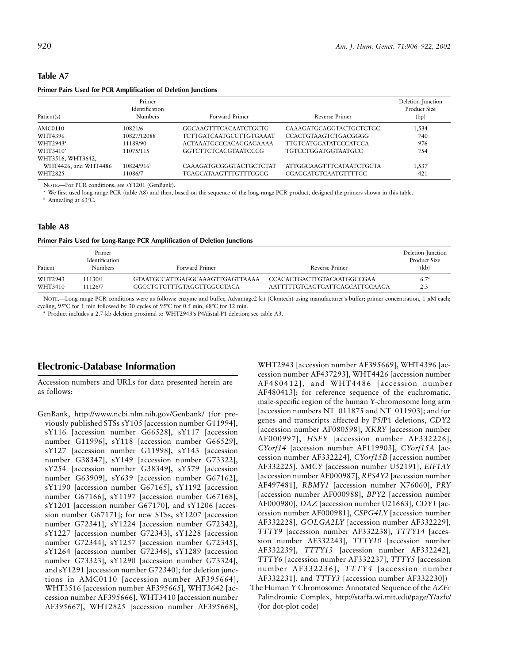#### **Table A7**

#### **Primer Pairs Used for PCR Amplification of Deletion Junctions**

| Patient(s)           | Primer<br>Identification<br><b>Numbers</b> | Forward Primer                 | Reverse Primer                 | Deletion-Junction<br>Product Size<br>(bp) |
|----------------------|--------------------------------------------|--------------------------------|--------------------------------|-------------------------------------------|
| AMC0110              | 10821/6                                    | GGCAAGTTTCACAATCTGCTG          | <b>CAAAGATGCAGGTACTGCTCTGC</b> | 1,534                                     |
| WHT4396              | 10827/12088                                | <b>TCTTGATCAATGCCTTGTGAAAT</b> | <b>CCACTGTAAGTCTGACGGGG</b>    | 740                                       |
| WHT2943 <sup>a</sup> | 11189/90                                   | ACTAAATGCCCACAGGAGAAAA         | <b>TTGTCATGGATATCCCATCCA</b>   | 976                                       |
| WHT3410 <sup>a</sup> | 11075/115                                  | <b>GGTCTTCTCACGTAATCCCG</b>    | <b>TGTCCTGGATGGTAATGCC</b>     | 754                                       |
| WHT3516, WHT3642,    |                                            |                                |                                |                                           |
| WHT4426, and WHT4486 | 10824/916 <sup>b</sup>                     | CAAAGATGCGGGTACTGCTCTAT        | ATTGGCAAGTTTCATAATCTGCTA       | 1,537                                     |
| WHT2825              | 11086/7                                    | <b>TGAGCATAAGTTTGTTTCGGG</b>   | CGAGGATGTCAATGTTTTGC           | 421                                       |

NOTE.—For PCR conditions, see sY1201 (GenBank).

We first used long-range PCR (table A8) and then, based on the sequence of the long-range PCR product, designed the primers shown in this table. <sup>b</sup> Annealing at 63°C.

#### **Table A8**

| Primer Pairs Used for Long-Range PCR Amplification of Deletion Junctions |
|--------------------------------------------------------------------------|
|--------------------------------------------------------------------------|

| Patient | Primer<br>Identification<br><b>Numbers</b> | Forward Primer                  | Reverse Primer                 | Deletion-Junction<br>Product Size<br>(kb) |
|---------|--------------------------------------------|---------------------------------|--------------------------------|-------------------------------------------|
| WHT2943 | 11130/1                                    | GTAATGCCATTGAGGCAAAGTTGAGTTAAAA | CCACACTGACTTGTACAATGGCCGAA     | $6.7^{\circ}$                             |
| WHT3410 | 11126/7                                    | GGCCTGTCTTTGTAGGTTGGCCTACA      | AATTTTTGTCAGTGATTCAGCATTGCAAGA | 2.3                                       |

NOTE.—Long-range PCR conditions were as follows: enzyme and buffer, Advantage2 kit (Clontech) using manufacturer's buffer; primer concentration, 1  $\mu$ M each; cycling, 95°C for 1 min followed by 30 cycles of 95°C for 0.5 min, 68°C for 12 min.

<sup>a</sup> Product includes a 2.7-kb deletion proximal to WHT2943's P4/distal-P1 deletion; see table A3.

# **Electronic-Database Information**

Accession numbers and URLs for data presented herein are as follows:

GenBank, http://www.ncbi.nlm.nih.gov/Genbank/ (for previously published STSs sY105 [accession number G11994], sY116 [accession number G66528], sY117 [accession number G11996], sY118 [accession number G66529], sY127 [accession number G11998], sY143 [accession number G38347], sY149 [accession number G73322], sY254 [accession number G38349], sY579 [accession number G63909], sY639 [accession number G67162], sY1190 [accession number G67165], sY1192 [accession number G67166], sY1197 [accession number G67168], sY1201 [accession number G67170], and sY1206 [accession number G67171]; for new STSs, sY1207 [accession number G72341], sY1224 [accession number G72342], sY1227 [accession number G72343], sY1228 [accession number G72344], sY1257 [accession number G72345], sY1264 [accession number G72346], sY1289 [accession number G73323], sY1290 [accession number G73324], and sY1291 [accession number G72340]; for deletion junctions in AMC0110 [accession number AF395664], WHT3516 [accession number AF395665], WHT3642 [accession number AF395666], WHT3410 [accession number AF395667], WHT2825 [accession number AF395668],

WHT2943 [accession number AF395669], WHT4396 [accession number AF437293], WHT4426 [accession number AF480412], and WHT4486 [accession number AF480413]; for reference sequence of the euchromatic, male-specific region of the human Y-chromosome long arm [accession numbers NT\_011875 and NT\_011903]; and for genes and transcripts affected by P5/P1 deletions, *CDY2* [accession number AF080598], *XKRY* [accession number AF000997], *HSFY* [accession number AF332226], *CYorf14* [accession number AF119903], *CYorf15A* [accession number AF332224], *CYorf15B* [accession number AF332225], *SMCY* [accession number U52191], *EIF1AY* [accession number AF000987], *RPS4Y2* [accession number AF497481], *RBMY1* [accession number X76060], *PRY* [accession number AF000988], *BPY2* [accession number AF000980], *DAZ* [accession number U21663], *CDY1* [accession number AF000981], *CSPG4LY* [accession number AF332228], *GOLGA2LY* [accession number AF332229], *TTTY9* [accession number AF332238], *TTTY14* [accession number AF332243], *TTTY10* [accession number AF332239], *TTTY13* [accession number AF332242], *TTTY6* [accession number AF332237], *TTTY5* [accession number AF332236], *TTTY4* [accession number AF332231], and *TTTY3* [accession number AF332230])

The Human Y Chromosome: Annotated Sequence of the *AZFc* Palindromic Complex, http://staffa.wi.mit.edu/page/Y/azfc/ (for dot-plot code)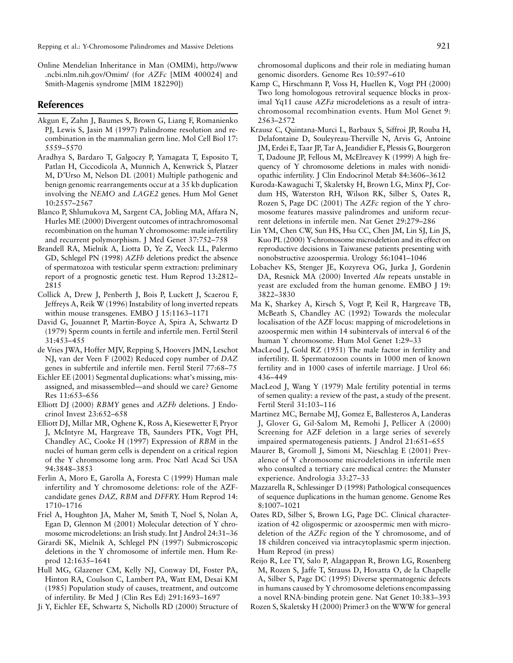Online Mendelian Inheritance in Man (OMIM), http://www .ncbi.nlm.nih.gov/Omim/ (for *AZFc* [MIM 400024] and Smith-Magenis syndrome [MIM 182290])

# **References**

- Akgun E, Zahn J, Baumes S, Brown G, Liang F, Romanienko PJ, Lewis S, Jasin M (1997) Palindrome resolution and recombination in the mammalian germ line. Mol Cell Biol 17: 5559–5570
- Aradhya S, Bardaro T, Galgoczy P, Yamagata T, Esposito T, Patlan H, Ciccodicola A, Munnich A, Kenwrick S, Platzer M, D'Urso M, Nelson DL (2001) Multiple pathogenic and benign genomic rearrangements occur at a 35 kb duplication involving the *NEMO* and *LAGE2* genes. Hum Mol Genet 10:2557–2567
- Blanco P, Shlumukova M, Sargent CA, Jobling MA, Affara N, Hurles ME (2000) Divergent outcomes of intrachromosomal recombination on the human Y chromosome: male infertility and recurrent polymorphism. J Med Genet 37:752–758
- Brandell RA, Mielnik A, Liotta D, Ye Z, Veeck LL, Palermo GD, Schlegel PN (1998) *AZFb* deletions predict the absence of spermatozoa with testicular sperm extraction: preliminary report of a prognostic genetic test. Hum Reprod 13:2812– 2815
- Collick A, Drew J, Penberth J, Bois P, Luckett J, Scaerou F, Jeffreys A, Reik W (1996) Instability of long inverted repeats within mouse transgenes. EMBO J 15:1163–1171
- David G, Jouannet P, Martin-Boyce A, Spira A, Schwartz D (1979) Sperm counts in fertile and infertile men. Fertil Steril 31:453–455
- de Vries JWA, Hoffer MJV, Repping S, Hoovers JMN, Leschot NJ, van der Veen F (2002) Reduced copy number of *DAZ* genes in subfertile and infertile men. Fertil Steril 77:68–75
- Eichler EE (2001) Segmental duplications: what's missing, misassigned, and misassembled—and should we care? Genome Res 11:653–656
- Elliott DJ (2000) *RBMY* genes and *AZFb* deletions. J Endocrinol Invest 23:652–658
- Elliott DJ, Millar MR, Oghene K, Ross A, Kiesewetter F, Pryor J, McIntyre M, Hargreave TB, Saunders PTK, Vogt PH, Chandley AC, Cooke H (1997) Expression of *RBM* in the nuclei of human germ cells is dependent on a critical region of the Y chromosome long arm. Proc Natl Acad Sci USA 94:3848–3853
- Ferlin A, Moro E, Garolla A, Foresta C (1999) Human male infertility and Y chromosome deletions: role of the AZFcandidate genes *DAZ, RBM* and *DFFRY.* Hum Reprod 14: 1710–1716
- Friel A, Houghton JA, Maher M, Smith T, Noel S, Nolan A, Egan D, Glennon M (2001) Molecular detection of Y chromosome microdeletions: an Irish study. Int J Androl 24:31–36
- Girardi SK, Mielnik A, Schlegel PN (1997) Submicroscopic deletions in the Y chromosome of infertile men. Hum Reprod 12:1635–1641
- Hull MG, Glazener CM, Kelly NJ, Conway DI, Foster PA, Hinton RA, Coulson C, Lambert PA, Watt EM, Desai KM (1985) Population study of causes, treatment, and outcome of infertility. Br Med J (Clin Res Ed) 291:1693–1697
- Ji Y, Eichler EE, Schwartz S, Nicholls RD (2000) Structure of

chromosomal duplicons and their role in mediating human genomic disorders. Genome Res 10:597–610

- Kamp C, Hirschmann P, Voss H, Huellen K, Vogt PH (2000) Two long homologous retroviral sequence blocks in proximal Yq11 cause *AZFa* microdeletions as a result of intrachromosomal recombination events. Hum Mol Genet 9: 2563–2572
- Krausz C, Quintana-Murci L, Barbaux S, Siffroi JP, Rouba H, Delafontaine D, Souleyreau-Therville N, Arvis G, Antoine JM, Erdei E, Taar JP, Tar A, Jeandidier E, Plessis G, Bourgeron T, Dadoune JP, Fellous M, McElreavey K (1999) A high frequency of Y chromosome deletions in males with nonidiopathic infertility. J Clin Endocrinol Metab 84:3606–3612
- Kuroda-Kawaguchi T, Skaletsky H, Brown LG, Minx PJ, Cordum HS, Waterston RH, Wilson RK, Silber S, Oates R, Rozen S, Page DC (2001) The *AZFc* region of the Y chromosome features massive palindromes and uniform recurrent deletions in infertile men. Nat Genet 29:279–286
- Lin YM, Chen CW, Sun HS, Hsu CC, Chen JM, Lin SJ, Lin JS, Kuo PL (2000) Y-chromosome microdeletion and its effect on reproductive decisions in Taiwanese patients presenting with nonobstructive azoospermia. Urology 56:1041–1046
- Lobachev KS, Stenger JE, Kozyreva OG, Jurka J, Gordenin DA, Resnick MA (2000) Inverted *Alu* repeats unstable in yeast are excluded from the human genome. EMBO J 19: 3822–3830
- Ma K, Sharkey A, Kirsch S, Vogt P, Keil R, Hargreave TB, McBeath S, Chandley AC (1992) Towards the molecular localisation of the AZF locus: mapping of microdeletions in azoospermic men within 14 subintervals of interval 6 of the human Y chromosome. Hum Mol Genet 1:29–33
- MacLeod J, Gold RZ (1951) The male factor in fertility and infertility. II. Spermatozoon counts in 1000 men of known fertility and in 1000 cases of infertile marriage. J Urol 66: 436–449
- MacLeod J, Wang Y (1979) Male fertility potential in terms of semen quality: a review of the past, a study of the present. Fertil Steril 31:103–116
- Martinez MC, Bernabe MJ, Gomez E, Ballesteros A, Landeras J, Glover G, Gil-Salom M, Remohi J, Pellicer A (2000) Screening for AZF deletion in a large series of severely impaired spermatogenesis patients. J Androl 21:651–655
- Maurer B, Gromoll J, Simoni M, Nieschlag E (2001) Prevalence of Y chromosome microdeletions in infertile men who consulted a tertiary care medical centre: the Munster experience. Andrologia 33:27–33
- Mazzarella R, Schlessinger D (1998) Pathological consequences of sequence duplications in the human genome. Genome Res 8:1007–1021
- Oates RD, Silber S, Brown LG, Page DC. Clinical characterization of 42 oligospermic or azoospermic men with microdeletion of the *AZFc* region of the Y chromosome, and of 18 children conceived via intracytoplasmic sperm injection. Hum Reprod (in press)
- Reijo R, Lee TY, Salo P, Alagappan R, Brown LG, Rosenberg M, Rozen S, Jaffe T, Strauss D, Hovatta O, de la Chapelle A, Silber S, Page DC (1995) Diverse spermatogenic defects in humans caused by Y chromosome deletions encompassing a novel RNA-binding protein gene. Nat Genet 10:383–393
- Rozen S, Skaletsky H (2000) Primer3 on the WWW for general